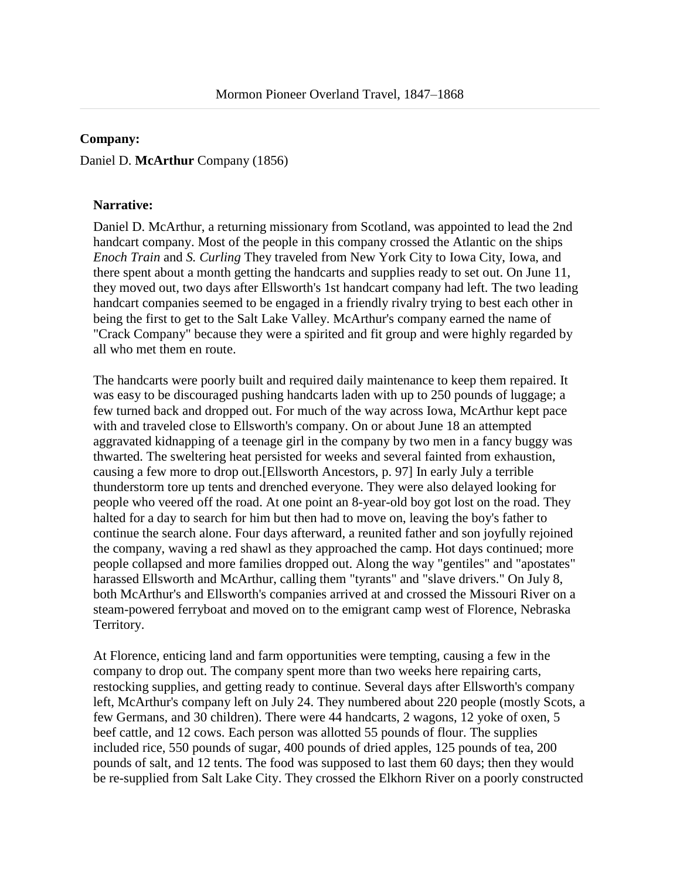## **Company:**

## Daniel D. **McArthur** Company (1856)

## **Narrative:**

Daniel D. McArthur, a returning missionary from Scotland, was appointed to lead the 2nd handcart company. Most of the people in this company crossed the Atlantic on the ships *Enoch Train* and *S. Curling* They traveled from New York City to Iowa City, Iowa, and there spent about a month getting the handcarts and supplies ready to set out. On June 11, they moved out, two days after Ellsworth's 1st handcart company had left. The two leading handcart companies seemed to be engaged in a friendly rivalry trying to best each other in being the first to get to the Salt Lake Valley. McArthur's company earned the name of "Crack Company" because they were a spirited and fit group and were highly regarded by all who met them en route.

The handcarts were poorly built and required daily maintenance to keep them repaired. It was easy to be discouraged pushing handcarts laden with up to 250 pounds of luggage; a few turned back and dropped out. For much of the way across Iowa, McArthur kept pace with and traveled close to Ellsworth's company. On or about June 18 an attempted aggravated kidnapping of a teenage girl in the company by two men in a fancy buggy was thwarted. The sweltering heat persisted for weeks and several fainted from exhaustion, causing a few more to drop out.[Ellsworth Ancestors, p. 97] In early July a terrible thunderstorm tore up tents and drenched everyone. They were also delayed looking for people who veered off the road. At one point an 8-year-old boy got lost on the road. They halted for a day to search for him but then had to move on, leaving the boy's father to continue the search alone. Four days afterward, a reunited father and son joyfully rejoined the company, waving a red shawl as they approached the camp. Hot days continued; more people collapsed and more families dropped out. Along the way "gentiles" and "apostates" harassed Ellsworth and McArthur, calling them "tyrants" and "slave drivers." On July 8, both McArthur's and Ellsworth's companies arrived at and crossed the Missouri River on a steam-powered ferryboat and moved on to the emigrant camp west of Florence, Nebraska Territory.

At Florence, enticing land and farm opportunities were tempting, causing a few in the company to drop out. The company spent more than two weeks here repairing carts, restocking supplies, and getting ready to continue. Several days after Ellsworth's company left, McArthur's company left on July 24. They numbered about 220 people (mostly Scots, a few Germans, and 30 children). There were 44 handcarts, 2 wagons, 12 yoke of oxen, 5 beef cattle, and 12 cows. Each person was allotted 55 pounds of flour. The supplies included rice, 550 pounds of sugar, 400 pounds of dried apples, 125 pounds of tea, 200 pounds of salt, and 12 tents. The food was supposed to last them 60 days; then they would be re-supplied from Salt Lake City. They crossed the Elkhorn River on a poorly constructed